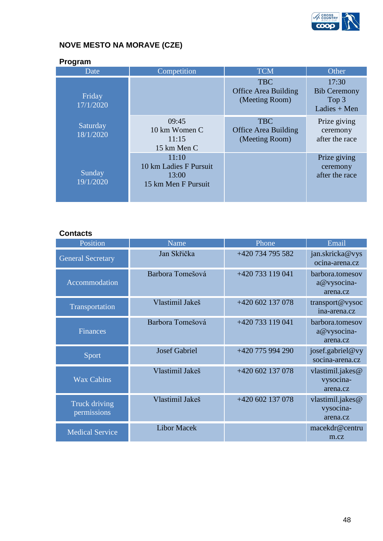

# **NOVE MESTO NA MORAVE (CZE)**

| Program               |                                                                 |                                                             |                                                         |  |  |
|-----------------------|-----------------------------------------------------------------|-------------------------------------------------------------|---------------------------------------------------------|--|--|
| Date                  | Competition                                                     | <b>TCM</b>                                                  | Other                                                   |  |  |
| Friday<br>17/1/2020   |                                                                 | <b>TBC</b><br><b>Office Area Building</b><br>(Meeting Room) | 17:30<br><b>Bib Ceremony</b><br>Top 3<br>Ladies $+$ Men |  |  |
| Saturday<br>18/1/2020 | 09:45<br>10 km Women C<br>11:15<br>15 km Men C                  | <b>TBC</b><br><b>Office Area Building</b><br>(Meeting Room) | Prize giving<br>ceremony<br>after the race              |  |  |
| Sunday<br>19/1/2020   | 11:10<br>10 km Ladies F Pursuit<br>13:00<br>15 km Men F Pursuit |                                                             | Prize giving<br>ceremony<br>after the race              |  |  |

## **Contacts**

| Position                     | Name                 | Phone            | Email                                      |
|------------------------------|----------------------|------------------|--------------------------------------------|
| <b>General Secretary</b>     | Jan Skřička          | +420 734 795 582 | jan.skricka@vys<br>ocina-arena.cz          |
| Accommodation                | Barbora Tomešová     | +420 733 119 041 | barbora.tomesov<br>a@vysocina-<br>arena.cz |
| Transportation               | Vlastimil Jakeš      | +420 602 137 078 | transport@vysoc<br>ina-arena.cz            |
| <b>Finances</b>              | Barbora Tomešová     | +420 733 119 041 | barbora.tomesov<br>a@vysocina-<br>arena.cz |
| Sport                        | <b>Josef Gabriel</b> | +420 775 994 290 | josef.gabriel@vy<br>socina-arena.cz        |
| <b>Wax Cabins</b>            | Vlastimil Jakeš      | +420 602 137 078 | vlastimil.jakes@<br>vysocina-<br>arena.cz  |
| Truck driving<br>permissions | Vlastimil Jakeš      | +420 602 137 078 | vlastimil.jakes@<br>vysocina-<br>arena.cz  |
| <b>Medical Service</b>       | <b>Libor Macek</b>   |                  | macekdr@centru<br>m.cz                     |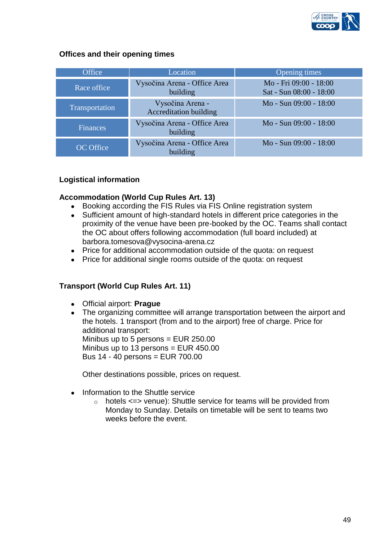

## **Offices and their opening times**

| <b>Office</b>    | Location                                          | Opening times                                     |
|------------------|---------------------------------------------------|---------------------------------------------------|
| Race office      | Vysočina Arena - Office Area<br>building          | Mo - Fri 09:00 - 18:00<br>Sat - Sun 08:00 - 18:00 |
| Transportation   | Vysočina Arena -<br><b>Accreditation building</b> | Mo - Sun 09:00 - 18:00                            |
| <b>Finances</b>  | Vysočina Arena - Office Area<br>building          | Mo - Sun 09:00 - 18:00                            |
| <b>OC</b> Office | Vysočina Arena - Office Area<br>building          | Mo - Sun 09:00 - 18:00                            |

## **Logistical information**

## **Accommodation (World Cup Rules Art. 13)**

- Booking according the FIS Rules via FIS Online registration system
- Sufficient amount of high-standard hotels in different price categories in the proximity of the venue have been pre-booked by the OC. Teams shall contact the OC about offers following accommodation (full board included) at barbora.tomesova@vysocina-arena.cz
- Price for additional accommodation outside of the quota: on request
- Price for additional single rooms outside of the quota: on request

## **Transport (World Cup Rules Art. 11)**

- Official airport: **Prague**
- The organizing committee will arrange transportation between the airport and the hotels. 1 transport (from and to the airport) free of charge. Price for additional transport: Minibus up to 5 persons = EUR 250.00 Minibus up to 13 persons = EUR 450.00 Bus 14 - 40 persons = EUR 700.00

Other destinations possible, prices on request.

- Information to the Shuttle service
	- $\circ$  hotels  $\le$  venue): Shuttle service for teams will be provided from Monday to Sunday. Details on timetable will be sent to teams two weeks before the event.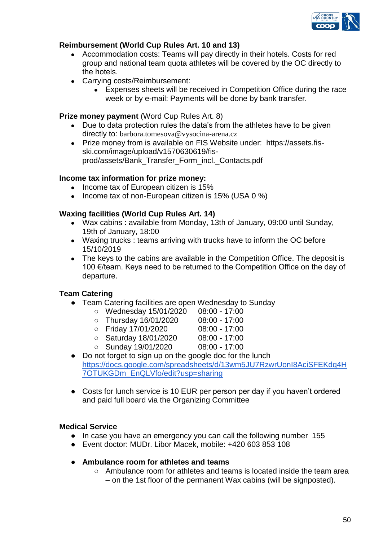

## **Reimbursement (World Cup Rules Art. 10 and 13)**

- Accommodation costs: Teams will pay directly in their hotels. Costs for red group and national team quota athletes will be covered by the OC directly to the hotels.
- Carrying costs/Reimbursement:
	- Expenses sheets will be received in Competition Office during the race week or by e-mail: Payments will be done by bank transfer.

#### **Prize money payment** (Word Cup Rules Art. 8)

- Due to data protection rules the data's from the athletes have to be given directly to: barbora.tomesova@vysocina-arena.cz
- Prize money from is available on FIS Website under: https://assets.fisski.com/image/upload/v1570630619/fisprod/assets/Bank\_Transfer\_Form\_incl.\_Contacts.pdf

#### **Income tax information for prize money:**

- Income tax of European citizen is 15%
- Income tax of non-European citizen is 15% (USA 0 %)

### **Waxing facilities (World Cup Rules Art. 14)**

- Wax cabins : available from Monday, 13th of January, 09:00 until Sunday, 19th of January, 18:00
- Waxing trucks : teams arriving with trucks have to inform the OC before 15/10/2019
- The keys to the cabins are available in the Competition Office. The deposit is 100 €/team. Keys need to be returned to the Competition Office on the day of departure.

## **Team Catering**

- Team Catering facilities are open Wednesday to Sunday
	- Wednesday 15/01/2020 08:00 17:00
	- Thursday 16/01/2020 08:00 17:00
	- Friday 17/01/2020 08:00 17:00
- - Saturday 18/01/2020 08:00 17:00
	- Sunday 19/01/2020 08:00 17:00
- 
- Do not forget to sign up on the google doc for the lunch [https://docs.google.com/spreadsheets/d/13wm5JU7RzwrUonI8AciSFEKdq4H](https://docs.google.com/spreadsheets/d/13wm5JU7RzwrUonI8AciSFEKdq4H7OTUKGDm_EnQLVfo/edit?usp=sharing) [7OTUKGDm\\_EnQLVfo/edit?usp=sharing](https://docs.google.com/spreadsheets/d/13wm5JU7RzwrUonI8AciSFEKdq4H7OTUKGDm_EnQLVfo/edit?usp=sharing)
- Costs for lunch service is 10 EUR per person per day if you haven't ordered and paid full board via the Organizing Committee

#### **Medical Service**

- In case you have an emergency you can call the following number 155
- Event doctor: MUDr. Libor Macek, mobile: +420 603 853 108
- **Ambulance room for athletes and teams**
	- Ambulance room for athletes and teams is located inside the team area – on the 1st floor of the permanent Wax cabins (will be signposted).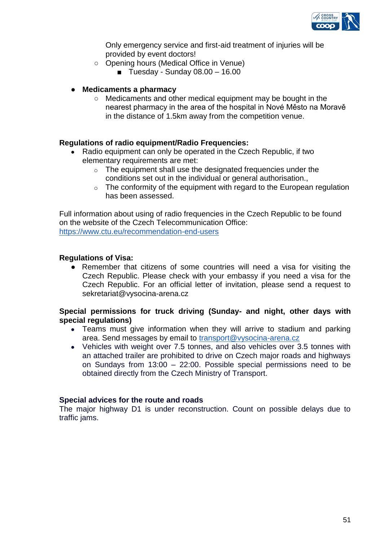

Only emergency service and first-aid treatment of injuries will be provided by event doctors!

- Opening hours (Medical Office in Venue)
	- **U** Tuesday Sunday  $08.00 16.00$

#### ● **Medicaments a pharmacy**

○ Medicaments and other medical equipment may be bought in the nearest pharmacy in the area of the hospital in Nové Město na Moravě in the distance of 1.5km away from the competition venue.

#### **Regulations of radio equipment/Radio Frequencies:**

- Radio equipment can only be operated in the Czech Republic, if two elementary requirements are met:
	- o The equipment shall use the designated frequencies under the conditions set out in the individual or general authorisation.,
	- $\circ$  The conformity of the equipment with regard to the European regulation has been assessed.

Full information about using of radio frequencies in the Czech Republic to be found on the website of the Czech Telecommunication Office: <https://www.ctu.eu/recommendation-end-users>

#### **Regulations of Visa:**

● Remember that citizens of some countries will need a visa for visiting the Czech Republic. Please check with your embassy if you need a visa for the Czech Republic. For an official letter of invitation, please send a request to sekretariat@vysocina-arena.cz

#### **Special permissions for truck driving (Sunday- and night, other days with special regulations)**

- Teams must give information when they will arrive to stadium and parking area. Send messages by email to [transport@vysocina-arena.cz](mailto:transport@vysocina-arena.cz)
- Vehicles with weight over 7.5 tonnes, and also vehicles over 3.5 tonnes with an attached trailer are prohibited to drive on Czech major roads and highways on Sundays from 13:00 – 22:00. Possible special permissions need to be obtained directly from the Czech Ministry of Transport.

#### **Special advices for the route and roads**

The major highway D1 is under reconstruction. Count on possible delays due to traffic jams.